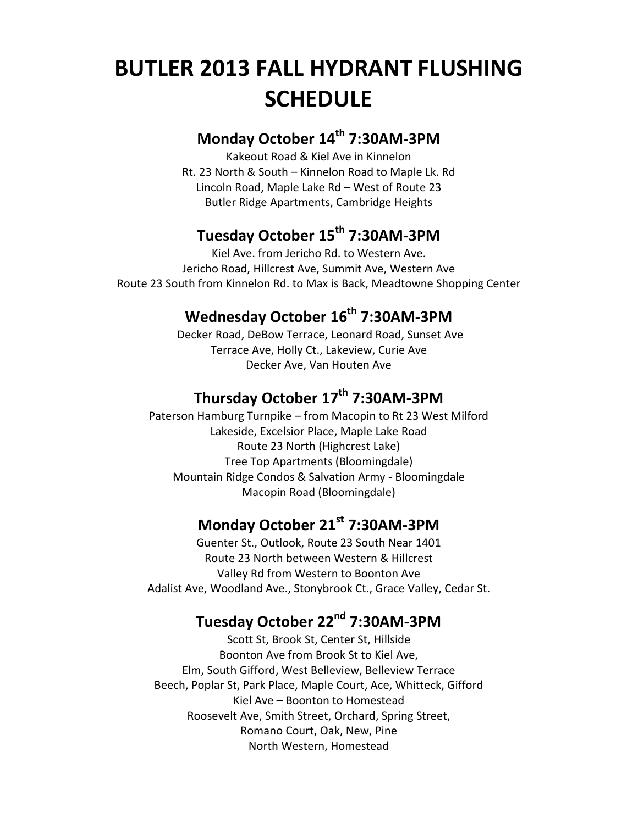# **BUTLER 2013 FALL HYDRANT FLUSHING SCHEDULE**

#### **Monday October 14th 7:30AM-3PM**

Kakeout Road & Kiel Ave in Kinnelon Rt. 23 North & South – Kinnelon Road to Maple Lk. Rd Lincoln Road, Maple Lake Rd – West of Route 23 Butler Ridge Apartments, Cambridge Heights

### **Tuesday October 15th 7:30AM-3PM**

Kiel Ave. from Jericho Rd. to Western Ave. Jericho Road, Hillcrest Ave, Summit Ave, Western Ave Route 23 South from Kinnelon Rd. to Max is Back, Meadtowne Shopping Center

# **Wednesday October 16 th 7:30AM-3PM**

Decker Road, DeBow Terrace, Leonard Road, Sunset Ave Terrace Ave, Holly Ct., Lakeview, Curie Ave Decker Ave, Van Houten Ave

## **Thursday October 17th 7:30AM-3PM**

Paterson Hamburg Turnpike – from Macopin to Rt 23 West Milford Lakeside, Excelsior Place, Maple Lake Road Route 23 North (Highcrest Lake) Tree Top Apartments (Bloomingdale) Mountain Ridge Condos & Salvation Army - Bloomingdale Macopin Road (Bloomingdale)

#### **Monday October 21st 7:30AM-3PM**

Guenter St., Outlook, Route 23 South Near 1401 Route 23 North between Western & Hillcrest Valley Rd from Western to Boonton Ave Adalist Ave, Woodland Ave., Stonybrook Ct., Grace Valley, Cedar St.

## **Tuesday October 22nd 7:30AM-3PM**

Scott St, Brook St, Center St, Hillside Boonton Ave from Brook St to Kiel Ave, Elm, South Gifford, West Belleview, Belleview Terrace Beech, Poplar St, Park Place, Maple Court, Ace, Whitteck, Gifford Kiel Ave – Boonton to Homestead Roosevelt Ave, Smith Street, Orchard, Spring Street, Romano Court, Oak, New, Pine North Western, Homestead